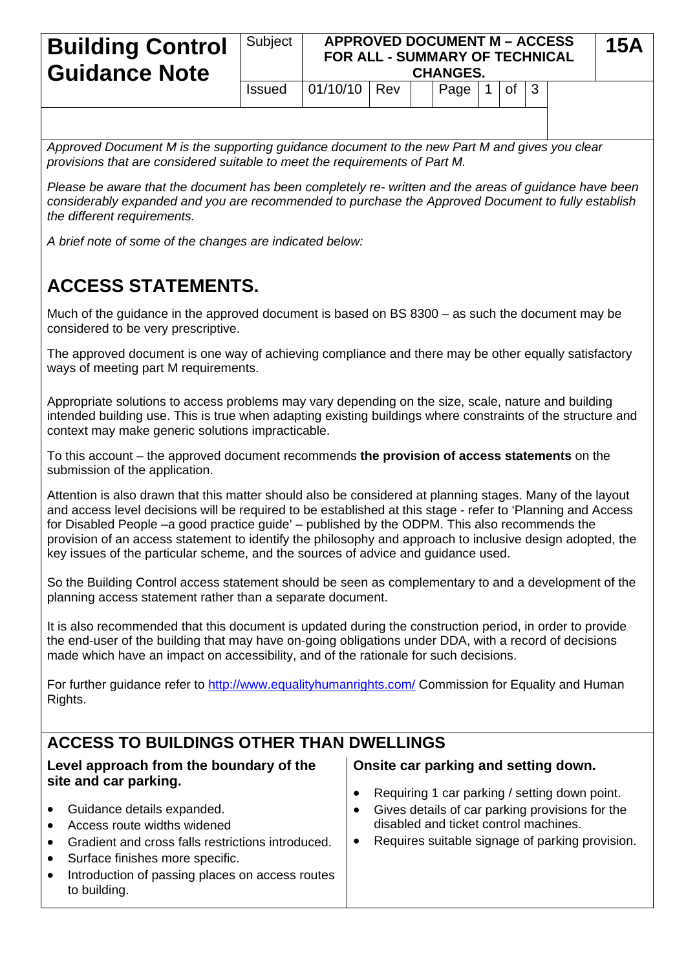| <b>Building Control</b><br><b>Guidance Note</b> | Subject       |                | <b>APPROVED DOCUMENT M - ACCESS</b><br><b>FOR ALL - SUMMARY OF TECHNICAL</b><br><b>CHANGES.</b> |  |            |  |              |  |  |  | 15A |
|-------------------------------------------------|---------------|----------------|-------------------------------------------------------------------------------------------------|--|------------|--|--------------|--|--|--|-----|
|                                                 | <b>Issued</b> | $01/10/10$ Rev |                                                                                                 |  | Page   $1$ |  | $ $ of $ $ 3 |  |  |  |     |

*Approved Document M is the supporting guidance document to the new Part M and gives you clear provisions that are considered suitable to meet the requirements of Part M.* 

*Please be aware that the document has been completely re- written and the areas of guidance have been considerably expanded and you are recommended to purchase the Approved Document to fully establish the different requirements.* 

*A brief note of some of the changes are indicated below:* 

## **ACCESS STATEMENTS.**

Much of the guidance in the approved document is based on BS 8300 – as such the document may be considered to be very prescriptive.

The approved document is one way of achieving compliance and there may be other equally satisfactory ways of meeting part M requirements.

Appropriate solutions to access problems may vary depending on the size, scale, nature and building intended building use. This is true when adapting existing buildings where constraints of the structure and context may make generic solutions impracticable.

To this account – the approved document recommends **the provision of access statements** on the submission of the application.

Attention is also drawn that this matter should also be considered at planning stages. Many of the layout and access level decisions will be required to be established at this stage - refer to 'Planning and Access for Disabled People –a good practice guide' – published by the ODPM. This also recommends the provision of an access statement to identify the philosophy and approach to inclusive design adopted, the key issues of the particular scheme, and the sources of advice and guidance used.

So the Building Control access statement should be seen as complementary to and a development of the planning access statement rather than a separate document.

It is also recommended that this document is updated during the construction period, in order to provide the end-user of the building that may have on-going obligations under DDA, with a record of decisions made which have an impact on accessibility, and of the rationale for such decisions.

For further guidance refer to <http://www.equalityhumanrights.com/>Commission for Equality and Human Rights.

## **ACCESS TO BUILDINGS OTHER THAN DWELLINGS**

| Level approach from the boundary of the                                                                                                                                                                                                                                    | Onsite car parking and setting down.                                                                                                        |
|----------------------------------------------------------------------------------------------------------------------------------------------------------------------------------------------------------------------------------------------------------------------------|---------------------------------------------------------------------------------------------------------------------------------------------|
| site and car parking.                                                                                                                                                                                                                                                      | Requiring 1 car parking / setting down point.                                                                                               |
| Guidance details expanded.<br>$\bullet$<br>Access route widths widened<br>$\bullet$<br>Gradient and cross falls restrictions introduced.<br>$\bullet$<br>• Surface finishes more specific.<br>Introduction of passing places on access routes<br>$\bullet$<br>to building. | Gives details of car parking provisions for the<br>disabled and ticket control machines.<br>Requires suitable signage of parking provision. |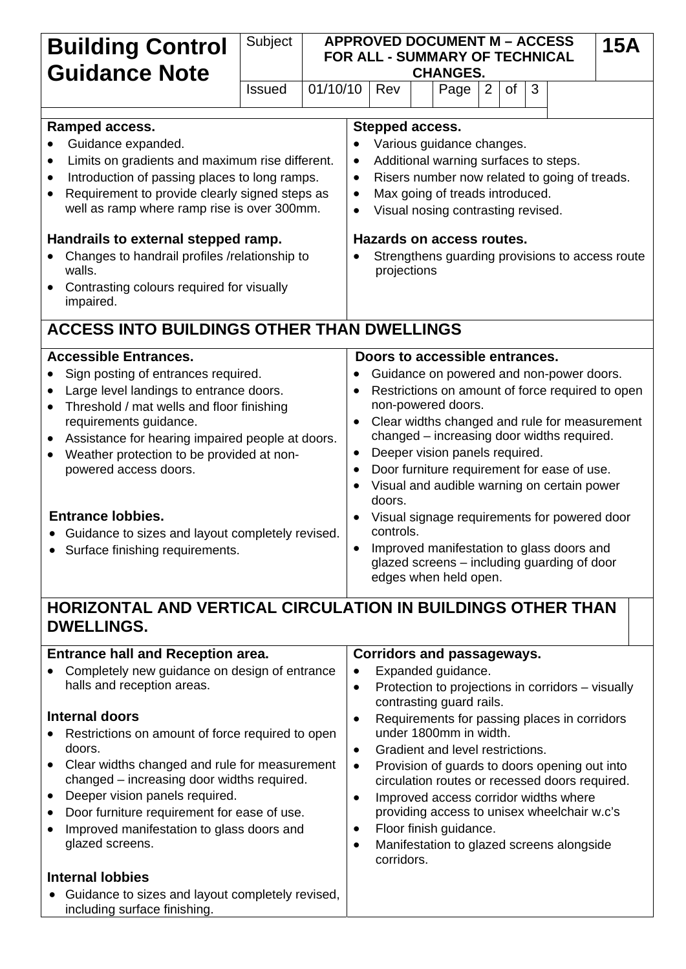| <b>Building Control</b><br><b>Guidance Note</b>                                                                                                                                                                                                                                                                                                                                                                                                                                           | Subject                                                                                              | <b>APPROVED DOCUMENT M - ACCESS</b><br>FOR ALL - SUMMARY OF TECHNICAL<br><b>CHANGES.</b>                                                                                                                                                                                                                                                                                                                                                                                                                                                                                        |                                   |  |      |  |   |    | <b>15A</b> |   |  |  |  |  |  |
|-------------------------------------------------------------------------------------------------------------------------------------------------------------------------------------------------------------------------------------------------------------------------------------------------------------------------------------------------------------------------------------------------------------------------------------------------------------------------------------------|------------------------------------------------------------------------------------------------------|---------------------------------------------------------------------------------------------------------------------------------------------------------------------------------------------------------------------------------------------------------------------------------------------------------------------------------------------------------------------------------------------------------------------------------------------------------------------------------------------------------------------------------------------------------------------------------|-----------------------------------|--|------|--|---|----|------------|---|--|--|--|--|--|
|                                                                                                                                                                                                                                                                                                                                                                                                                                                                                           | <b>Issued</b>                                                                                        | 01/10/10                                                                                                                                                                                                                                                                                                                                                                                                                                                                                                                                                                        | Rev                               |  | Page |  | 2 | of |            | 3 |  |  |  |  |  |
| Ramped access.<br>Guidance expanded.<br>Limits on gradients and maximum rise different.<br>$\bullet$<br>Introduction of passing places to long ramps.<br>$\bullet$<br>Requirement to provide clearly signed steps as<br>٠<br>well as ramp where ramp rise is over 300mm.<br>Handrails to external stepped ramp.<br>Changes to handrail profiles /relationship to<br>walls.<br>Contrasting colours required for visually<br>$\bullet$<br>impaired.                                         | $\bullet$<br>$\bullet$<br>$\bullet$<br>$\bullet$<br>$\bullet$                                        | Stepped access.<br>Various guidance changes.<br>Additional warning surfaces to steps.<br>Risers number now related to going of treads.<br>Max going of treads introduced.<br>Visual nosing contrasting revised.<br>Hazards on access routes.<br>Strengthens guarding provisions to access route<br>projections                                                                                                                                                                                                                                                                  |                                   |  |      |  |   |    |            |   |  |  |  |  |  |
| <b>ACCESS INTO BUILDINGS OTHER THAN DWELLINGS</b>                                                                                                                                                                                                                                                                                                                                                                                                                                         |                                                                                                      |                                                                                                                                                                                                                                                                                                                                                                                                                                                                                                                                                                                 |                                   |  |      |  |   |    |            |   |  |  |  |  |  |
| <b>Accessible Entrances.</b><br>Sign posting of entrances required.<br>Large level landings to entrance doors.<br>٠<br>Threshold / mat wells and floor finishing<br>$\bullet$<br>requirements guidance.<br>Assistance for hearing impaired people at doors.<br>$\bullet$<br>Weather protection to be provided at non-<br>$\bullet$<br>powered access doors.<br><b>Entrance lobbies.</b><br>Guidance to sizes and layout completely revised.<br>• Surface finishing requirements.          | $\bullet$<br>$\bullet$<br>$\bullet$<br>$\bullet$                                                     | Doors to accessible entrances.<br>Guidance on powered and non-power doors.<br>Restrictions on amount of force required to open<br>non-powered doors.<br>Clear widths changed and rule for measurement<br>changed - increasing door widths required.<br>Deeper vision panels required.<br>Door furniture requirement for ease of use.<br>Visual and audible warning on certain power<br>doors.<br>Visual signage requirements for powered door<br>controls.<br>Improved manifestation to glass doors and<br>glazed screens - including guarding of door<br>edges when held open. |                                   |  |      |  |   |    |            |   |  |  |  |  |  |
| HORIZONTAL AND VERTICAL CIRCULATION IN BUILDINGS OTHER THAN<br><b>DWELLINGS.</b>                                                                                                                                                                                                                                                                                                                                                                                                          |                                                                                                      |                                                                                                                                                                                                                                                                                                                                                                                                                                                                                                                                                                                 |                                   |  |      |  |   |    |            |   |  |  |  |  |  |
| <b>Entrance hall and Reception area.</b>                                                                                                                                                                                                                                                                                                                                                                                                                                                  |                                                                                                      |                                                                                                                                                                                                                                                                                                                                                                                                                                                                                                                                                                                 | <b>Corridors and passageways.</b> |  |      |  |   |    |            |   |  |  |  |  |  |
| Completely new guidance on design of entrance<br>halls and reception areas.<br><b>Internal doors</b><br>Restrictions on amount of force required to open<br>doors.<br>Clear widths changed and rule for measurement<br>$\bullet$<br>changed - increasing door widths required.<br>Deeper vision panels required.<br>$\bullet$<br>Door furniture requirement for ease of use.<br>٠<br>Improved manifestation to glass doors and<br>$\bullet$<br>glazed screens.<br><b>Internal lobbies</b> | $\bullet$<br>$\bullet$<br>$\bullet$<br>$\bullet$<br>$\bullet$<br>$\bullet$<br>$\bullet$<br>$\bullet$ | Expanded guidance.<br>Protection to projections in corridors – visually<br>contrasting guard rails.<br>Requirements for passing places in corridors<br>under 1800mm in width.<br>Gradient and level restrictions.<br>Provision of guards to doors opening out into<br>circulation routes or recessed doors required.<br>Improved access corridor widths where<br>providing access to unisex wheelchair w.c's<br>Floor finish guidance.<br>Manifestation to glazed screens alongside<br>corridors.                                                                               |                                   |  |      |  |   |    |            |   |  |  |  |  |  |
| Guidance to sizes and layout completely revised,<br>including surface finishing.                                                                                                                                                                                                                                                                                                                                                                                                          |                                                                                                      |                                                                                                                                                                                                                                                                                                                                                                                                                                                                                                                                                                                 |                                   |  |      |  |   |    |            |   |  |  |  |  |  |